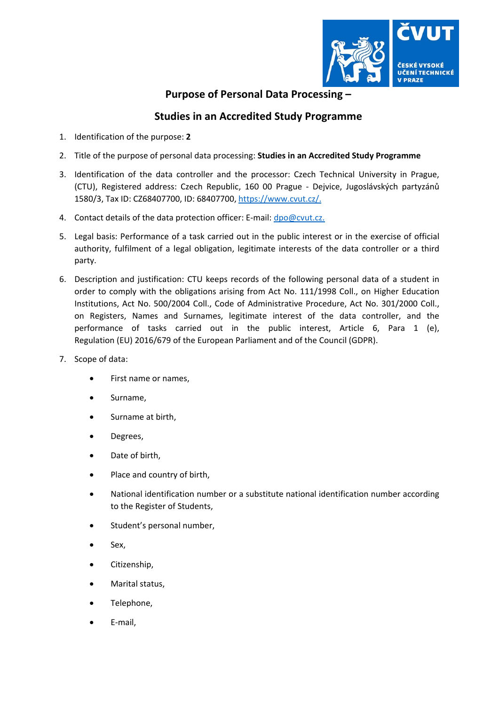

## **Purpose of Personal Data Processing –**

## **Studies in an Accredited Study Programme**

- 1. Identification of the purpose: **2**
- 2. Title of the purpose of personal data processing: **Studies in an Accredited Study Programme**
- 3. Identification of the data controller and the processor: Czech Technical University in Prague, (CTU), Registered address: Czech Republic, 160 00 Prague ‐ Dejvice, Jugoslávských partyzánů 1580/3, Tax ID: CZ68407700, ID: 68407700, https://www.cvut.cz/.
- 4. Contact details of the data protection officer: E-mail: dpo@cvut.cz.
- 5. Legal basis: Performance of a task carried out in the public interest or in the exercise of official authority, fulfilment of a legal obligation, legitimate interests of the data controller or a third party.
- 6. Description and justification: CTU keeps records of the following personal data of a student in order to comply with the obligations arising from Act No. 111/1998 Coll., on Higher Education Institutions, Act No. 500/2004 Coll., Code of Administrative Procedure, Act No. 301/2000 Coll., on Registers, Names and Surnames, legitimate interest of the data controller, and the performance of tasks carried out in the public interest, Article 6, Para 1 (e), Regulation (EU) 2016/679 of the European Parliament and of the Council (GDPR).
- 7. Scope of data:
	- First name or names,
	- Surname,
	- Surname at birth,
	- Degrees,
	- Date of birth,
	- Place and country of birth,
	- National identification number or a substitute national identification number according to the Register of Students,
	- Student's personal number,
	- Sex,
	- Citizenship,
	- Marital status,
	- Telephone,
	- E‐mail,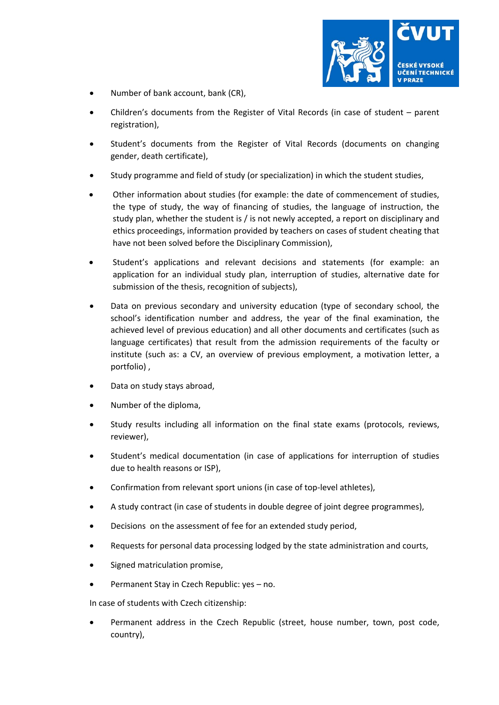

- Number of bank account, bank (CR),
- Children's documents from the Register of Vital Records (in case of student parent registration),
- Student's documents from the Register of Vital Records (documents on changing gender, death certificate),
- Study programme and field of study (or specialization) in which the student studies,
- Other information about studies (for example: the date of commencement of studies, the type of study, the way of financing of studies, the language of instruction, the study plan, whether the student is / is not newly accepted, a report on disciplinary and ethics proceedings, information provided by teachers on cases of student cheating that have not been solved before the Disciplinary Commission),
- Student's applications and relevant decisions and statements (for example: an application for an individual study plan, interruption of studies, alternative date for submission of the thesis, recognition of subjects),
- Data on previous secondary and university education (type of secondary school, the school's identification number and address, the year of the final examination, the achieved level of previous education) and all other documents and certificates (such as language certificates) that result from the admission requirements of the faculty or institute (such as: a CV, an overview of previous employment, a motivation letter, a portfolio) ,
- Data on study stays abroad,
- Number of the diploma,
- Study results including all information on the final state exams (protocols, reviews, reviewer),
- Student's medical documentation (in case of applications for interruption of studies due to health reasons or ISP),
- Confirmation from relevant sport unions (in case of top‐level athletes),
- A study contract (in case of students in double degree of joint degree programmes),
- Decisions on the assessment of fee for an extended study period,
- Requests for personal data processing lodged by the state administration and courts,
- Signed matriculation promise,
- Permanent Stay in Czech Republic: yes no.

In case of students with Czech citizenship:

 Permanent address in the Czech Republic (street, house number, town, post code, country),